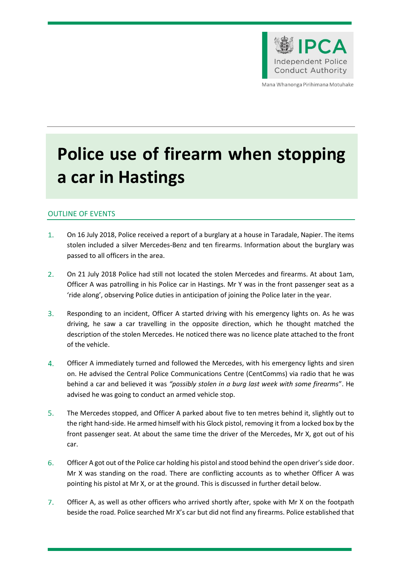

Mana Whanonga Pirihimana Motuhake

# **Police use of firearm when stopping a car in Hastings**

# OUTLINE OF EVENTS

- $1<sub>1</sub>$ On 16 July 2018, Police received a report of a burglary at a house in Taradale, Napier. The items stolen included a silver Mercedes-Benz and ten firearms. Information about the burglary was passed to all officers in the area.
- $2.$ On 21 July 2018 Police had still not located the stolen Mercedes and firearms. At about 1am, Officer A was patrolling in his Police car in Hastings. Mr Y was in the front passenger seat as a 'ride along', observing Police duties in anticipation of joining the Police later in the year.
- $3.$ Responding to an incident, Officer A started driving with his emergency lights on. As he was driving, he saw a car travelling in the opposite direction, which he thought matched the description of the stolen Mercedes. He noticed there was no licence plate attached to the front of the vehicle.
- $4.$ Officer A immediately turned and followed the Mercedes, with his emergency lights and siren on. He advised the Central Police Communications Centre (CentComms) via radio that he was behind a car and believed it was *"possibly stolen in a burg last week with some firearms*". He advised he was going to conduct an armed vehicle stop.
- $5.$ The Mercedes stopped, and Officer A parked about five to ten metres behind it, slightly out to the right hand-side. He armed himself with his Glock pistol, removing it from a locked box by the front passenger seat. At about the same time the driver of the Mercedes, Mr X, got out of his car.
- $6.$ Officer A got out of the Police car holding his pistol and stood behind the open driver's side door. Mr X was standing on the road. There are conflicting accounts as to whether Officer A was pointing his pistol at Mr X, or at the ground. This is discussed in further detail below.
- $7<sub>1</sub>$ Officer A, as well as other officers who arrived shortly after, spoke with Mr X on the footpath beside the road. Police searched Mr X's car but did not find any firearms. Police established that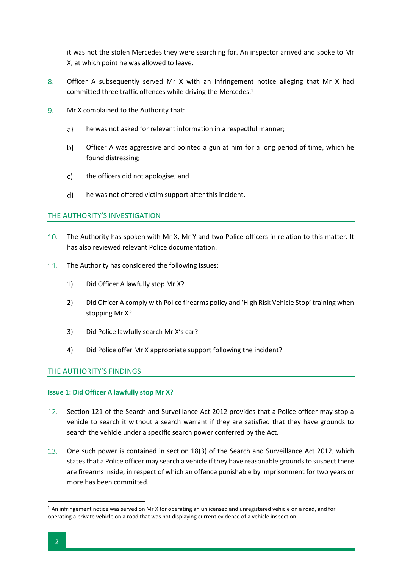it was not the stolen Mercedes they were searching for. An inspector arrived and spoke to Mr X, at which point he was allowed to leave.

- 8. Officer A subsequently served Mr X with an infringement notice alleging that Mr X had committed three traffic offences while driving the Mercedes.<sup>1</sup>
- $9<sub>1</sub>$ Mr X complained to the Authority that:
	- $a)$ he was not asked for relevant information in a respectful manner;
	- $b)$ Officer A was aggressive and pointed a gun at him for a long period of time, which he found distressing;
	- $\mathsf{c}$ the officers did not apologise; and
	- $d)$ he was not offered victim support after this incident.

# THE AUTHORITY'S INVESTIGATION

- $10<sub>1</sub>$ The Authority has spoken with Mr X, Mr Y and two Police officers in relation to this matter. It has also reviewed relevant Police documentation.
- 11. The Authority has considered the following issues:
	- 1) Did Officer A lawfully stop Mr X?
	- 2) Did Officer A comply with Police firearms policy and 'High Risk Vehicle Stop' training when stopping Mr X?
	- 3) Did Police lawfully search Mr X's car?
	- 4) Did Police offer Mr X appropriate support following the incident?

#### THE AUTHORITY'S FINDINGS

#### **Issue 1: Did Officer A lawfully stop Mr X?**

- $12<sup>1</sup>$ Section 121 of the Search and Surveillance Act 2012 provides that a Police officer may stop a vehicle to search it without a search warrant if they are satisfied that they have grounds to search the vehicle under a specific search power conferred by the Act.
- One such power is contained in section 18(3) of the Search and Surveillance Act 2012, which states that a Police officer may search a vehicle if they have reasonable grounds to suspect there are firearms inside, in respect of which an offence punishable by imprisonment for two years or more has been committed.

 $\overline{\phantom{a}}$ 

 $1$  An infringement notice was served on Mr X for operating an unlicensed and unregistered vehicle on a road, and for operating a private vehicle on a road that was not displaying current evidence of a vehicle inspection.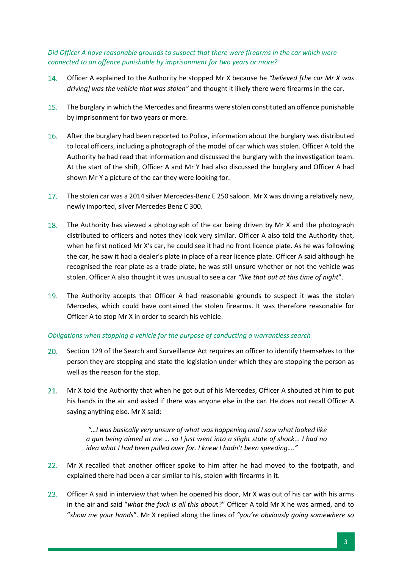*Did Officer A have reasonable grounds to suspect that there were firearms in the car which were connected to an offence punishable by imprisonment for two years or more?*

- 14. Officer A explained to the Authority he stopped Mr X because he *"believed [the car Mr X was driving] was the vehicle that was stolen"* and thought it likely there were firearms in the car.
- $15.$ The burglary in which the Mercedes and firearms were stolen constituted an offence punishable by imprisonment for two years or more.
- 16. After the burglary had been reported to Police, information about the burglary was distributed to local officers, including a photograph of the model of car which was stolen. Officer A told the Authority he had read that information and discussed the burglary with the investigation team. At the start of the shift, Officer A and Mr Y had also discussed the burglary and Officer A had shown Mr Y a picture of the car they were looking for.
- $17.$ The stolen car was a 2014 silver Mercedes-Benz E 250 saloon. Mr X was driving a relatively new, newly imported, silver Mercedes Benz C 300.
- 18. The Authority has viewed a photograph of the car being driven by Mr X and the photograph distributed to officers and notes they look very similar. Officer A also told the Authority that, when he first noticed Mr X's car, he could see it had no front licence plate. As he was following the car, he saw it had a dealer's plate in place of a rear licence plate. Officer A said although he recognised the rear plate as a trade plate, he was still unsure whether or not the vehicle was stolen. Officer A also thought it was unusual to see a car *"like that out at this time of night*".
- The Authority accepts that Officer A had reasonable grounds to suspect it was the stolen 19. Mercedes, which could have contained the stolen firearms. It was therefore reasonable for Officer A to stop Mr X in order to search his vehicle.

# *Obligations when stopping a vehicle for the purpose of conducting a warrantless search*

- 20. Section 129 of the Search and Surveillance Act requires an officer to identify themselves to the person they are stopping and state the legislation under which they are stopping the person as well as the reason for the stop*.*
- 21. Mr X told the Authority that when he got out of his Mercedes, Officer A shouted at him to put his hands in the air and asked if there was anyone else in the car. He does not recall Officer A saying anything else. Mr X said:

*"…I was basically very unsure of what was happening and I saw what looked like a gun being aimed at me … so I just went into a slight state of shock... I had no idea what I had been pulled over for. I knew I hadn't been speeding…."*

- $22.$ Mr X recalled that another officer spoke to him after he had moved to the footpath, and explained there had been a car similar to his, stolen with firearms in it.
- $23.$ Officer A said in interview that when he opened his door, Mr X was out of his car with his arms in the air and said "*what the fuck is all this abou*t?" Officer A told Mr X he was armed, and to "*show me your hands*". Mr X replied along the lines of *"you're obviously going somewhere so*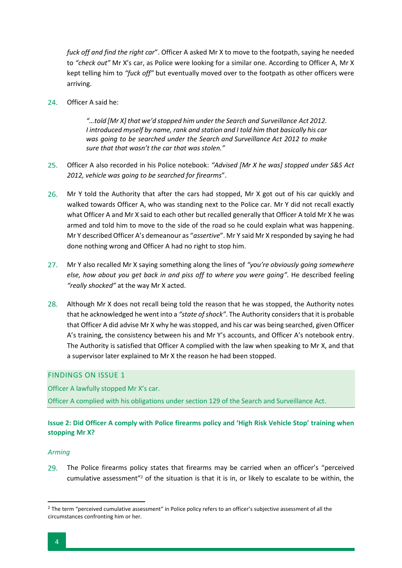*fuck off and find the right car*". Officer A asked Mr X to move to the footpath, saying he needed to *"check out"* Mr X's car, as Police were looking for a similar one. According to Officer A, Mr X kept telling him to *"fuck off"* but eventually moved over to the footpath as other officers were arriving.

24. Officer A said he:

*"…told [Mr X] that we'd stopped him under the Search and Surveillance Act 2012. I introduced myself by name, rank and station and I told him that basically his car was going to be searched under the Search and Surveillance Act 2012 to make sure that that wasn't the car that was stolen."*

- $25.$ Officer A also recorded in his Police notebook: *"Advised [Mr X he was] stopped under S&S Act 2012, vehicle was going to be searched for firearms*".
- $26.$ Mr Y told the Authority that after the cars had stopped, Mr X got out of his car quickly and walked towards Officer A, who was standing next to the Police car. Mr Y did not recall exactly what Officer A and Mr X said to each other but recalled generally that Officer A told Mr X he was armed and told him to move to the side of the road so he could explain what was happening. Mr Y described Officer A's demeanour as "*assertive*". Mr Y said Mr X responded by saying he had done nothing wrong and Officer A had no right to stop him.
- $27.$ Mr Y also recalled Mr X saying something along the lines of *"you're obviously going somewhere else, how about you get back in and piss off to where you were going".* He described feeling *"really shocked"* at the way Mr X acted.
- $28.$ Although Mr X does not recall being told the reason that he was stopped, the Authority notes that he acknowledged he went into a *"state of shock"*. The Authority considers that it is probable that Officer A did advise Mr X why he was stopped, and his car was being searched, given Officer A's training, the consistency between his and Mr Y's accounts, and Officer A's notebook entry. The Authority is satisfied that Officer A complied with the law when speaking to Mr X, and that a supervisor later explained to Mr X the reason he had been stopped.

### FINDINGS ON ISSUE 1

Officer A lawfully stopped Mr X's car.

Officer A complied with his obligations under section 129 of the Search and Surveillance Act.

# **Issue 2: Did Officer A comply with Police firearms policy and 'High Risk Vehicle Stop' training when stopping Mr X?**

#### *Arming*

The Police firearms policy states that firearms may be carried when an officer's "perceived  $29.$ cumulative assessment"<sup>2</sup> of the situation is that it is in, or likely to escalate to be within, the

 $\overline{\phantom{a}}$ 

<sup>&</sup>lt;sup>2</sup> The term "perceived cumulative assessment" in Police policy refers to an officer's subjective assessment of all the circumstances confronting him or her.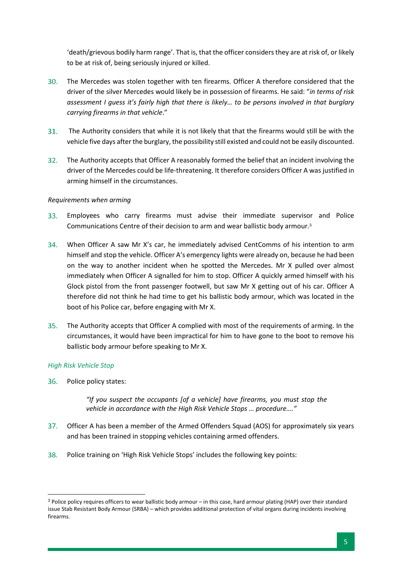'death/grievous bodily harm range'. That is, that the officer considers they are at risk of, or likely to be at risk of, being seriously injured or killed.

- $30.$ The Mercedes was stolen together with ten firearms. Officer A therefore considered that the driver of the silver Mercedes would likely be in possession of firearms. He said: "*in terms of risk assessment I guess it's fairly high that there is likely… to be persons involved in that burglary carrying firearms in that vehicle*."
- $31.$ The Authority considers that while it is not likely that that the firearms would still be with the vehicle five days after the burglary, the possibility still existed and could not be easily discounted.
- The Authority accepts that Officer A reasonably formed the belief that an incident involving the  $32.$ driver of the Mercedes could be life-threatening. It therefore considers Officer A was justified in arming himself in the circumstances.

# *Requirements when arming*

- 33. Employees who carry firearms must advise their immediate supervisor and Police Communications Centre of their decision to arm and wear ballistic body armour.<sup>3</sup>
- When Officer A saw Mr X's car, he immediately advised CentComms of his intention to arm himself and stop the vehicle. Officer A's emergency lights were already on, because he had been on the way to another incident when he spotted the Mercedes. Mr X pulled over almost immediately when Officer A signalled for him to stop. Officer A quickly armed himself with his Glock pistol from the front passenger footwell, but saw Mr X getting out of his car. Officer A therefore did not think he had time to get his ballistic body armour, which was located in the boot of his Police car, before engaging with Mr X.
- $35.$ The Authority accepts that Officer A complied with most of the requirements of arming. In the circumstances, it would have been impractical for him to have gone to the boot to remove his ballistic body armour before speaking to Mr X.

#### *High Risk Vehicle Stop*

l

36. Police policy states:

> *"If you suspect the occupants [of a vehicle] have firearms, you must stop the vehicle in accordance with the High Risk Vehicle Stops … procedure…."*

- $37.$ Officer A has been a member of the Armed Offenders Squad (AOS) for approximately six years and has been trained in stopping vehicles containing armed offenders.
- 38. Police training on 'High Risk Vehicle Stops' includes the following key points:

 $3$  Police policy requires officers to wear ballistic body armour – in this case, hard armour plating (HAP) over their standard issue Stab Resistant Body Armour (SRBA) – which provides additional protection of vital organs during incidents involving firearms.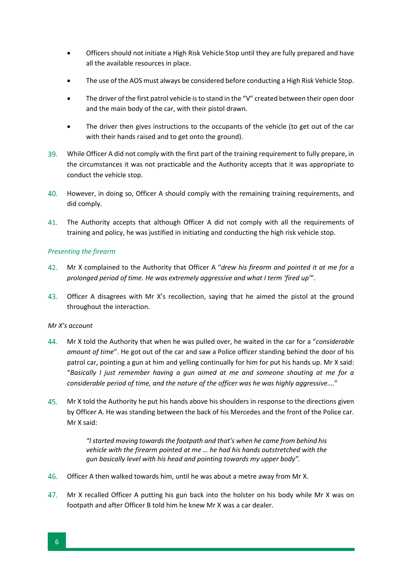- Officers should not initiate a High Risk Vehicle Stop until they are fully prepared and have all the available resources in place.
- The use of the AOS must always be considered before conducting a High Risk Vehicle Stop.
- The driver of the first patrol vehicle is to stand in the "V" created between their open door and the main body of the car, with their pistol drawn.
- The driver then gives instructions to the occupants of the vehicle (to get out of the car with their hands raised and to get onto the ground).
- While Officer A did not comply with the first part of the training requirement to fully prepare, in the circumstances it was not practicable and the Authority accepts that it was appropriate to conduct the vehicle stop.
- However, in doing so, Officer A should comply with the remaining training requirements, and did comply.
- The Authority accepts that although Officer A did not comply with all the requirements of 41. training and policy, he was justified in initiating and conducting the high risk vehicle stop.

# *Presenting the firearm*

- 42. Mr X complained to the Authority that Officer A "*drew his firearm and pointed it at me for a prolonged period of time. He was extremely aggressive and what I term 'fired up'*".
- 43. Officer A disagrees with Mr X's recollection, saying that he aimed the pistol at the ground throughout the interaction.

#### *Mr X's account*

- 44. Mr X told the Authority that when he was pulled over, he waited in the car for a "*considerable amount of time*". He got out of the car and saw a Police officer standing behind the door of his patrol car, pointing a gun at him and yelling continually for him for put his hands up. Mr X said: "*Basically I just remember having a gun aimed at me and someone shouting at me for a considerable period of time, and the nature of the officer was he was highly aggressive….*"
- 45. Mr X told the Authority he put his hands above his shoulders in response to the directions given by Officer A. He was standing between the back of his Mercedes and the front of the Police car. Mr X said:

*"I started moving towards the footpath and that's when he came from behind his vehicle with the firearm pointed at me … he had his hands outstretched with the gun basically level with his head and pointing towards my upper body".* 

- Officer A then walked towards him, until he was about a metre away from Mr X.
- Mr X recalled Officer A putting his gun back into the holster on his body while Mr X was on 47. footpath and after Officer B told him he knew Mr X was a car dealer.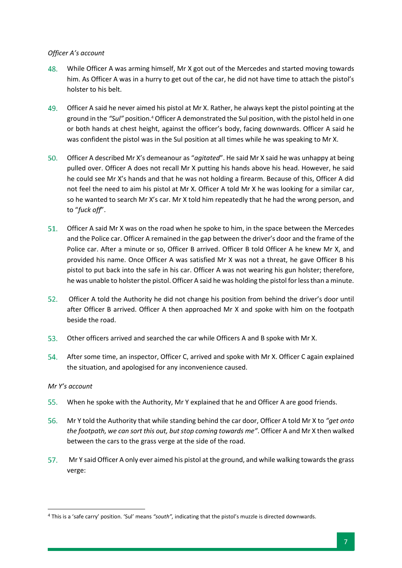# *Officer A's account*

- While Officer A was arming himself, Mr X got out of the Mercedes and started moving towards 48. him. As Officer A was in a hurry to get out of the car, he did not have time to attach the pistol's holster to his belt.
- 49. Officer A said he never aimed his pistol at Mr X. Rather, he always kept the pistol pointing at the ground in the *"Sul"* position.<sup>4</sup> Officer A demonstrated the Sul position, with the pistol held in one or both hands at chest height, against the officer's body, facing downwards. Officer A said he was confident the pistol was in the Sul position at all times while he was speaking to Mr X.
- 50. Officer A described Mr X's demeanour as "*agitated*". He said Mr X said he was unhappy at being pulled over. Officer A does not recall Mr X putting his hands above his head. However, he said he could see Mr X's hands and that he was not holding a firearm. Because of this, Officer A did not feel the need to aim his pistol at Mr X. Officer A told Mr X he was looking for a similar car, so he wanted to search Mr X's car. Mr X told him repeatedly that he had the wrong person, and to "*fuck off*".
- 51. Officer A said Mr X was on the road when he spoke to him, in the space between the Mercedes and the Police car. Officer A remained in the gap between the driver's door and the frame of the Police car. After a minute or so, Officer B arrived. Officer B told Officer A he knew Mr X, and provided his name. Once Officer A was satisfied Mr X was not a threat, he gave Officer B his pistol to put back into the safe in his car. Officer A was not wearing his gun holster; therefore, he was unable to holster the pistol. Officer A said he was holding the pistol for less than a minute.
- 52. Officer A told the Authority he did not change his position from behind the driver's door until after Officer B arrived. Officer A then approached Mr X and spoke with him on the footpath beside the road.
- 53. Other officers arrived and searched the car while Officers A and B spoke with Mr X.
- 54. After some time, an inspector, Officer C, arrived and spoke with Mr X. Officer C again explained the situation, and apologised for any inconvenience caused.

# *Mr Y's account*

- $55.$ When he spoke with the Authority, Mr Y explained that he and Officer A are good friends.
- Mr Y told the Authority that while standing behind the car door, Officer A told Mr X to *"get onto*  56. *the footpath, we can sort this out, but stop coming towards me"*. Officer A and Mr X then walked between the cars to the grass verge at the side of the road.
- $57.$ Mr Y said Officer A only ever aimed his pistol at the ground, and while walking towards the grass verge:

 $\overline{\phantom{a}}$ <sup>4</sup> This is a 'safe carry' position. 'Sul' means *"south",* indicating that the pistol's muzzle is directed downwards.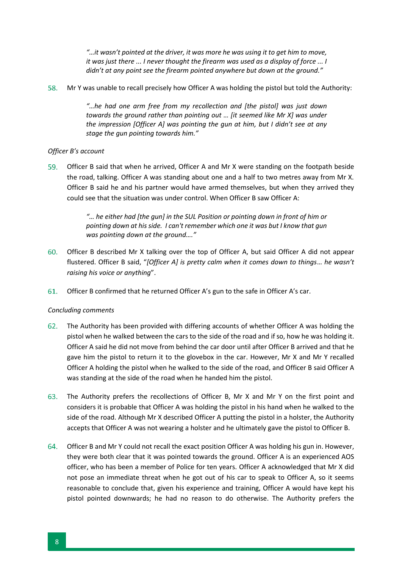*"…it wasn't pointed at the driver, it was more he was using it to get him to move, it was just there ... I never thought the firearm was used as a display of force ... I didn't at any point see the firearm pointed anywhere but down at the ground."*

Mr Y was unable to recall precisely how Officer A was holding the pistol but told the Authority:

*"…he had one arm free from my recollection and [the pistol] was just down towards the ground rather than pointing out … [it seemed like Mr X] was under the impression [Officer A] was pointing the gun at him, but I didn't see at any stage the gun pointing towards him."*

# *Officer B's account*

59. Officer B said that when he arrived, Officer A and Mr X were standing on the footpath beside the road, talking. Officer A was standing about one and a half to two metres away from Mr X. Officer B said he and his partner would have armed themselves, but when they arrived they could see that the situation was under control. When Officer B saw Officer A:

> *"… he either had [the gun] in the SUL Position or pointing down in front of him or pointing down at his side. I can't remember which one it was but I know that gun was pointing down at the ground…."*

- 60. Officer B described Mr X talking over the top of Officer A, but said Officer A did not appear flustered. Officer B said, "*[Officer A] is pretty calm when it comes down to things*… *he wasn't raising his voice or anything*".
- Officer B confirmed that he returned Officer A's gun to the safe in Officer A's car.

#### *Concluding comments*

- The Authority has been provided with differing accounts of whether Officer A was holding the 62. pistol when he walked between the cars to the side of the road and if so, how he was holding it. Officer A said he did not move from behind the car door until after Officer B arrived and that he gave him the pistol to return it to the glovebox in the car. However, Mr X and Mr Y recalled Officer A holding the pistol when he walked to the side of the road, and Officer B said Officer A was standing at the side of the road when he handed him the pistol.
- The Authority prefers the recollections of Officer B, Mr X and Mr Y on the first point and considers it is probable that Officer A was holding the pistol in his hand when he walked to the side of the road. Although Mr X described Officer A putting the pistol in a holster, the Authority accepts that Officer A was not wearing a holster and he ultimately gave the pistol to Officer B.
- 64. Officer B and Mr Y could not recall the exact position Officer A was holding his gun in. However, they were both clear that it was pointed towards the ground. Officer A is an experienced AOS officer, who has been a member of Police for ten years. Officer A acknowledged that Mr X did not pose an immediate threat when he got out of his car to speak to Officer A, so it seems reasonable to conclude that, given his experience and training, Officer A would have kept his pistol pointed downwards; he had no reason to do otherwise. The Authority prefers the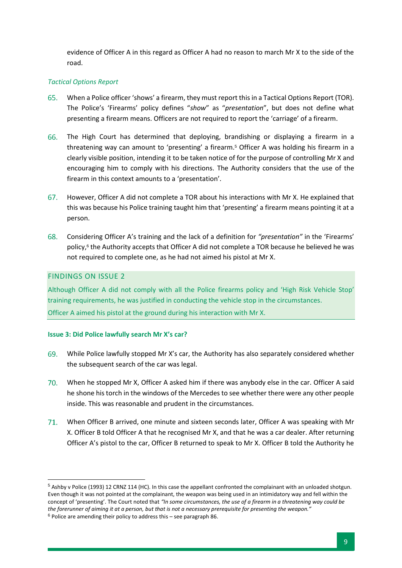evidence of Officer A in this regard as Officer A had no reason to march Mr X to the side of the road.

# *Tactical Options Report*

- 65. When a Police officer 'shows' a firearm, they must report this in a Tactical Options Report (TOR). The Police's 'Firearms' policy defines "*show*" as "*presentation*", but does not define what presenting a firearm means. Officers are not required to report the 'carriage' of a firearm.
- The High Court has determined that deploying, brandishing or displaying a firearm in a 66. threatening way can amount to 'presenting' a firearm.<sup>5</sup> Officer A was holding his firearm in a clearly visible position, intending it to be taken notice of for the purpose of controlling Mr X and encouraging him to comply with his directions. The Authority considers that the use of the firearm in this context amounts to a 'presentation'.
- However, Officer A did not complete a TOR about his interactions with Mr X. He explained that 67. this was because his Police training taught him that 'presenting' a firearm means pointing it at a person.
- Considering Officer A's training and the lack of a definition for *"presentation"* in the 'Firearms' 68. policy,<sup>6</sup> the Authority accepts that Officer A did not complete a TOR because he believed he was not required to complete one, as he had not aimed his pistol at Mr X.

# FINDINGS ON ISSUE 2

 $\overline{\phantom{a}}$ 

Although Officer A did not comply with all the Police firearms policy and 'High Risk Vehicle Stop' training requirements, he was justified in conducting the vehicle stop in the circumstances. Officer A aimed his pistol at the ground during his interaction with Mr X.

#### **Issue 3: Did Police lawfully search Mr X's car?**

- While Police lawfully stopped Mr X's car, the Authority has also separately considered whether 69. the subsequent search of the car was legal.
- When he stopped Mr X, Officer A asked him if there was anybody else in the car. Officer A said he shone his torch in the windows of the Mercedes to see whether there were any other people inside. This was reasonable and prudent in the circumstances.
- When Officer B arrived, one minute and sixteen seconds later, Officer A was speaking with Mr X. Officer B told Officer A that he recognised Mr X, and that he was a car dealer. After returning Officer A's pistol to the car, Officer B returned to speak to Mr X. Officer B told the Authority he

<sup>5</sup> Ashby v Police (1993) 12 CRNZ 114 (HC). In this case the appellant confronted the complainant with an unloaded shotgun. Even though it was not pointed at the complainant, the weapon was being used in an intimidatory way and fell within the concept of 'presenting'. The Court noted that *"In some circumstances, the use of a firearm in a threatening way could be the forerunner of aiming it at a person, but that is not a necessary prerequisite for presenting the weapon."*  $6$  Police are amending their policy to address this – see paragraph [86.](#page-11-0)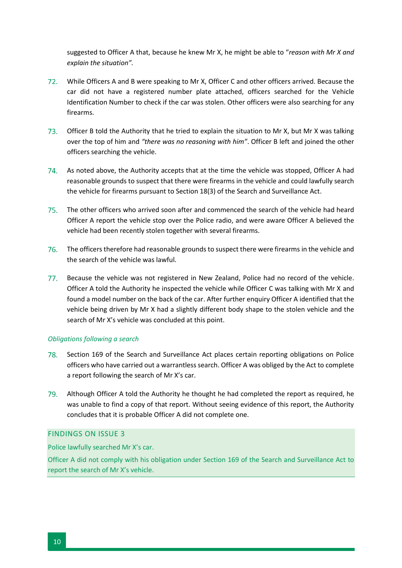suggested to Officer A that, because he knew Mr X, he might be able to "*reason with Mr X and explain the situation".* 

- $72.$ While Officers A and B were speaking to Mr X, Officer C and other officers arrived. Because the car did not have a registered number plate attached, officers searched for the Vehicle Identification Number to check if the car was stolen. Other officers were also searching for any firearms.
- Officer B told the Authority that he tried to explain the situation to Mr X, but Mr X was talking over the top of him and *"there was no reasoning with him"*. Officer B left and joined the other officers searching the vehicle.
- 74. As noted above, the Authority accepts that at the time the vehicle was stopped, Officer A had reasonable grounds to suspect that there were firearms in the vehicle and could lawfully search the vehicle for firearms pursuant to Section 18(3) of the Search and Surveillance Act.
- The other officers who arrived soon after and commenced the search of the vehicle had heard Officer A report the vehicle stop over the Police radio, and were aware Officer A believed the vehicle had been recently stolen together with several firearms.
- 76. The officers therefore had reasonable grounds to suspect there were firearms in the vehicle and the search of the vehicle was lawful.
- Because the vehicle was not registered in New Zealand, Police had no record of the vehicle. Officer A told the Authority he inspected the vehicle while Officer C was talking with Mr X and found a model number on the back of the car. After further enquiry Officer A identified that the vehicle being driven by Mr X had a slightly different body shape to the stolen vehicle and the search of Mr X's vehicle was concluded at this point.

# *Obligations following a search*

- 78. Section 169 of the Search and Surveillance Act places certain reporting obligations on Police officers who have carried out a warrantless search. Officer A was obliged by the Act to complete a report following the search of Mr X's car.
- Although Officer A told the Authority he thought he had completed the report as required, he was unable to find a copy of that report. Without seeing evidence of this report, the Authority concludes that it is probable Officer A did not complete one.

# FINDINGS ON ISSUE 3

Police lawfully searched Mr X's car.

Officer A did not comply with his obligation under Section 169 of the Search and Surveillance Act to report the search of Mr X's vehicle.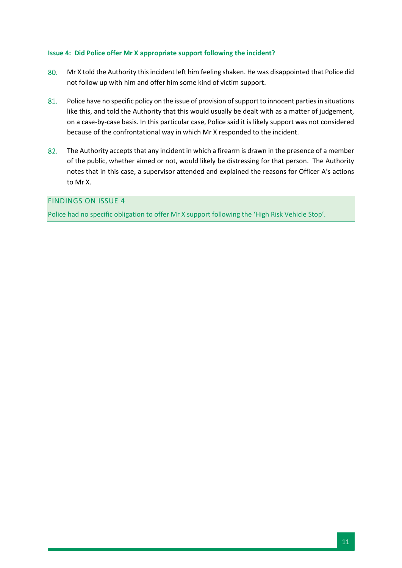# **Issue 4: Did Police offer Mr X appropriate support following the incident?**

- 80. Mr X told the Authority this incident left him feeling shaken. He was disappointed that Police did not follow up with him and offer him some kind of victim support.
- 81. Police have no specific policy on the issue of provision of support to innocent parties in situations like this, and told the Authority that this would usually be dealt with as a matter of judgement, on a case-by-case basis. In this particular case, Police said it is likely support was not considered because of the confrontational way in which Mr X responded to the incident.
- 82. The Authority accepts that any incident in which a firearm is drawn in the presence of a member of the public, whether aimed or not, would likely be distressing for that person. The Authority notes that in this case, a supervisor attended and explained the reasons for Officer A's actions to Mr X.

# FINDINGS ON ISSUE 4

Police had no specific obligation to offer Mr X support following the 'High Risk Vehicle Stop'.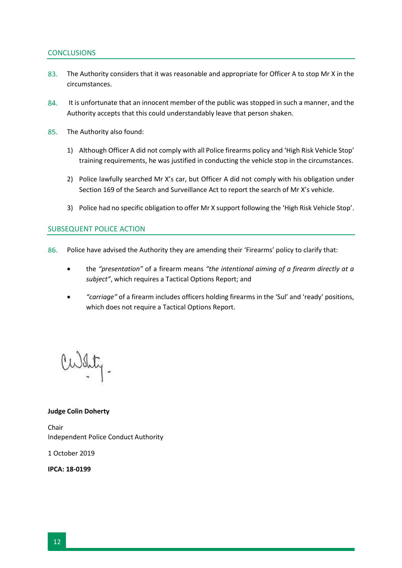# **CONCLUSIONS**

- 83. The Authority considers that it was reasonable and appropriate for Officer A to stop Mr X in the circumstances.
- 84. It is unfortunate that an innocent member of the public was stopped in such a manner, and the Authority accepts that this could understandably leave that person shaken.
- 85. The Authority also found:
	- 1) Although Officer A did not comply with all Police firearms policy and 'High Risk Vehicle Stop' training requirements, he was justified in conducting the vehicle stop in the circumstances.
	- 2) Police lawfully searched Mr X's car, but Officer A did not comply with his obligation under Section 169 of the Search and Surveillance Act to report the search of Mr X's vehicle.
	- 3) Police had no specific obligation to offer Mr X support following the 'High Risk Vehicle Stop'.

# SUBSEQUENT POLICE ACTION

- <span id="page-11-0"></span>86. Police have advised the Authority they are amending their 'Firearms' policy to clarify that:
	- the *"presentation"* of a firearm means *"the intentional aiming of a firearm directly at a subject"*, which requires a Tactical Options Report; and
	- *"carriage"* of a firearm includes officers holding firearms in the 'Sul' and 'ready' positions, which does not require a Tactical Options Report.

 $M_{\rm H}$ .

#### **Judge Colin Doherty**

Chair Independent Police Conduct Authority

1 October 2019

**IPCA: 18-0199**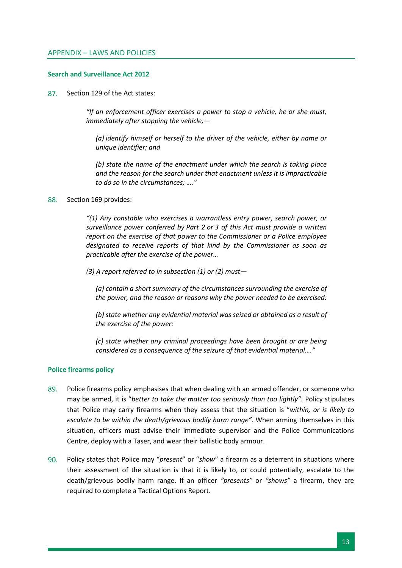#### **Search and Surveillance Act 2012**

87. Section 129 of the Act states:

> *"If an enforcement officer exercises a power to stop a vehicle, he or she must, immediately after stopping the vehicle,—*

*(a) identify himself or herself to the driver of the vehicle, either by name or unique identifier; and*

*(b) state the name of the enactment under which the search is taking place and the reason for the search under that enactment unless it is impracticable to do so in the circumstances; …."*

#### Section 169 provides: 88.

*"(1) Any constable who exercises a warrantless entry power, search power, or surveillance power conferred by [Part 2](http://www.legislation.govt.nz/act/public/2012/0024/latest/link.aspx?id=DLM2136632#DLM2136632) or 3 of this Act must provide a written report on the exercise of that power to the Commissioner or a Police employee designated to receive reports of that kind by the Commissioner as soon as practicable after the exercise of the power…*

*(3) A report referred to in subsection (1) or (2) must—*

*(a) contain a short summary of the circumstances surrounding the exercise of the power, and the reason or reasons why the power needed to be exercised:*

*(b) state whether any evidential material was seized or obtained as a result of the exercise of the power:*

*(c) state whether any criminal proceedings have been brought or are being considered as a consequence of the seizure of that evidential material…."*

#### **Police firearms policy**

- 89. Police firearms policy emphasises that when dealing with an armed offender, or someone who may be armed, it is "*better to take the matter too seriously than too lightly".* Policy stipulates that Police may carry firearms when they assess that the situation is "*within, or is likely to escalate to be within the death/grievous bodily harm range".* When arming themselves in this situation, officers must advise their immediate supervisor and the Police Communications Centre, deploy with a Taser, and wear their ballistic body armour.
- Policy states that Police may "*present*" or "*show*" a firearm as a deterrent in situations where  $90.$ their assessment of the situation is that it is likely to, or could potentially, escalate to the death/grievous bodily harm range. If an officer *"presents"* or *"shows"* a firearm, they are required to complete a Tactical Options Report.